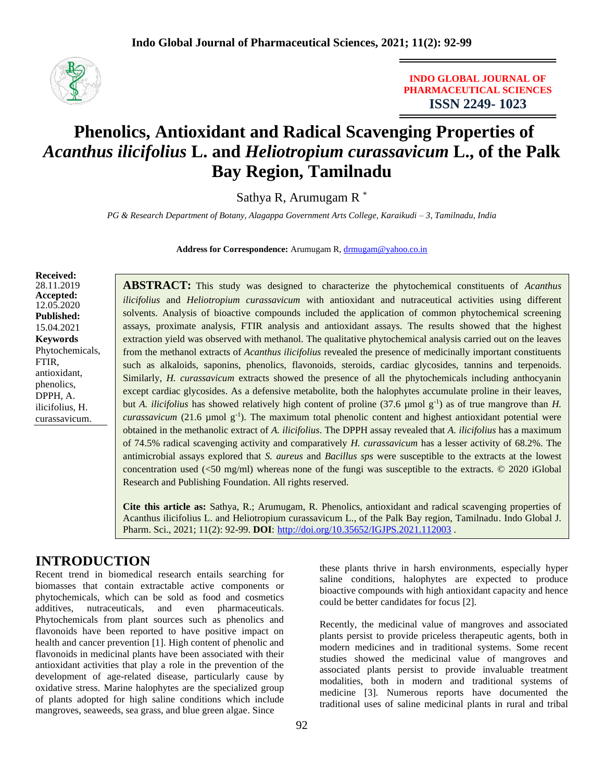

**INDO GLOBAL JOURNAL OF PHARMACEUTICAL SCIENCES ISSN 2249- 1023**

# **Phenolics, Antioxidant and Radical Scavenging Properties of**  *Acanthus ilicifolius* **L. and** *Heliotropium curassavicum* **L., of the Palk Bay Region, Tamilnadu**

Sathya R, Arumugam R \*

*PG & Research Department of Botany, Alagappa Government Arts College, Karaikudi – 3, Tamilnadu, India*

Address for Correspondence: Arumugam R, [drmugam@yahoo.co.in](mailto:drmugam@yahoo.co.in)

**Received:** 28.11.2019 **Accepted:**  12.05.2020 **Published:** 15.04.2021 **Keywords** Phytochemicals, FTIR, antioxidant, phenolics, DPPH, A. ilicifolius, H. curassavicum.

**ABSTRACT:** This study was designed to characterize the phytochemical constituents of *Acanthus ilicifolius* and *Heliotropium curassavicum* with antioxidant and nutraceutical activities using different solvents. Analysis of bioactive compounds included the application of common phytochemical screening assays, proximate analysis, FTIR analysis and antioxidant assays. The results showed that the highest extraction yield was observed with methanol. The qualitative phytochemical analysis carried out on the leaves from the methanol extracts of *Acanthus ilicifolius* revealed the presence of medicinally important constituents such as alkaloids, saponins, phenolics, flavonoids, steroids, cardiac glycosides, tannins and terpenoids. Similarly, *H. curassavicum* extracts showed the presence of all the phytochemicals including anthocyanin except cardiac glycosides. As a defensive metabolite, both the halophytes accumulate proline in their leaves, but *A. ilicifolius* has showed relatively high content of proline (37.6  $\mu$ mol g<sup>-1</sup>) as of true mangrove than *H*. *curassavicum* (21.6 µmol g-1 ). The maximum total phenolic content and highest antioxidant potential were obtained in the methanolic extract of *A. ilicifolius*. The DPPH assay revealed that *A. ilicifolius* has a maximum of 74.5% radical scavenging activity and comparatively *H. curassavicum* has a lesser activity of 68.2%. The antimicrobial assays explored that *S. aureus* and *Bacillus sps* were susceptible to the extracts at the lowest concentration used  $(\leq 50 \text{ mg/ml})$  whereas none of the fungi was susceptible to the extracts.  $\odot$  2020 iGlobal Research and Publishing Foundation. All rights reserved.

**Cite this article as:** Sathya, R.; Arumugam, R. Phenolics, antioxidant and radical scavenging properties of Acanthus ilicifolius L. and Heliotropium curassavicum L., of the Palk Bay region, Tamilnadu. Indo Global J. Pharm. Sci., 2021; 11(2): 92-99. **DOI**: <http://doi.org/10.35652/IGJPS.2021.112003> .

## **INTRODUCTION**

Recent trend in biomedical research entails searching for biomasses that contain extractable active components or phytochemicals, which can be sold as food and cosmetics additives, nutraceuticals, and even pharmaceuticals. Phytochemicals from plant sources such as phenolics and flavonoids have been reported to have positive impact on health and cancer prevention [1]. High content of phenolic and flavonoids in medicinal plants have been associated with their antioxidant activities that play a role in the prevention of the development of age-related disease, particularly cause by oxidative stress. Marine halophytes are the specialized group of plants adopted for high saline conditions which include mangroves, seaweeds, sea grass, and blue green algae. Since

these plants thrive in harsh environments, especially hyper saline conditions, halophytes are expected to produce bioactive compounds with high antioxidant capacity and hence could be better candidates for focus [2].

Recently, the medicinal value of mangroves and associated plants persist to provide priceless therapeutic agents, both in modern medicines and in traditional systems. Some recent studies showed the medicinal value of mangroves and associated plants persist to provide invaluable treatment modalities, both in modern and traditional systems of medicine [3]. Numerous reports have documented the traditional uses of saline medicinal plants in rural and tribal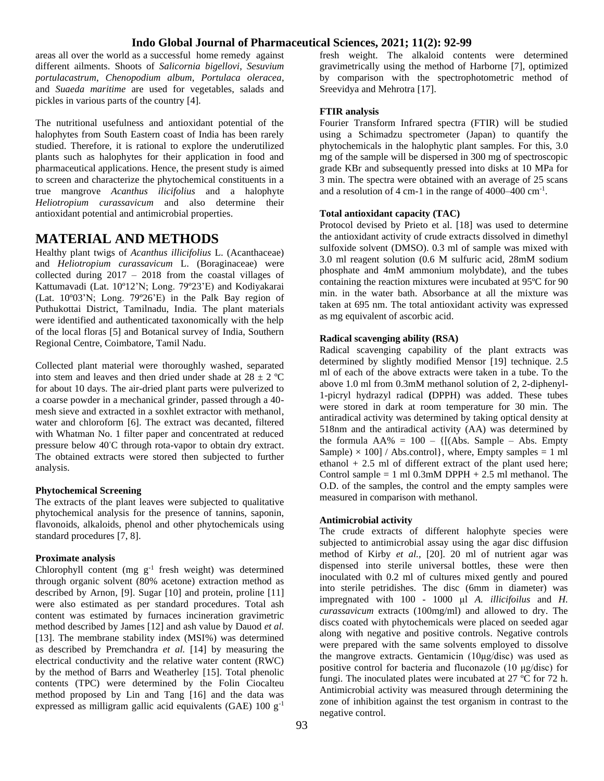areas all over the world as a successful home remedy against different ailments. Shoots of *Salicornia bigellovi*, *Sesuvium portulacastrum*, *Chenopodium album*, *Portulaca oleracea*, and *Suaeda maritime* are used for vegetables, salads and pickles in various parts of the country [4].

The nutritional usefulness and antioxidant potential of the halophytes from South Eastern coast of India has been rarely studied. Therefore, it is rational to explore the underutilized plants such as halophytes for their application in food and pharmaceutical applications. Hence, the present study is aimed to screen and characterize the phytochemical constituents in a true mangrove *Acanthus ilicifolius* and a halophyte *Heliotropium curassavicum* and also determine their antioxidant potential and antimicrobial properties.

## **MATERIAL AND METHODS**

Healthy plant twigs of *Acanthus illicifolius* L. (Acanthaceae) and *Heliotropium curassavicum* L. (Boraginaceae) were collected during 2017 – 2018 from the coastal villages of Kattumavadi (Lat. 10º12'N; Long. 79º23'E) and Kodiyakarai (Lat. 10º03'N; Long. 79º26'E) in the Palk Bay region of Puthukottai District, Tamilnadu, India. The plant materials were identified and authenticated taxonomically with the help of the local floras [5] and Botanical survey of India, Southern Regional Centre, Coimbatore, Tamil Nadu.

Collected plant material were thoroughly washed, separated into stem and leaves and then dried under shade at  $28 \pm 2$  °C for about 10 days. The air-dried plant parts were pulverized to a coarse powder in a mechanical grinder, passed through a 40 mesh sieve and extracted in a soxhlet extractor with methanol, water and chloroform [6]. The extract was decanted, filtered with Whatman No. 1 filter paper and concentrated at reduced pressure below 40◦C through rota-vapor to obtain dry extract. The obtained extracts were stored then subjected to further analysis.

#### **Phytochemical Screening**

The extracts of the plant leaves were subjected to qualitative phytochemical analysis for the presence of tannins, saponin, flavonoids, alkaloids, phenol and other phytochemicals using standard procedures [7, 8].

#### **Proximate analysis**

Chlorophyll content (mg  $g^{-1}$  fresh weight) was determined through organic solvent (80% acetone) extraction method as described by Arnon, [9]. Sugar [10] and protein, proline [11] were also estimated as per standard procedures. Total ash content was estimated by furnaces incineration gravimetric method described by James [12] and ash value by Dauod *et al.* [13]. The membrane stability index (MSI%) was determined as described by Premchandra *et al.* [14] by measuring the electrical conductivity and the relative water content (RWC) by the method of Barrs and Weatherley [15]. Total phenolic contents (TPC) were determined by the Folin Ciocalteu method proposed by Lin and Tang [16] and the data was expressed as milligram gallic acid equivalents (GAE)  $100 \text{ g}^{-1}$ 

fresh weight. The alkaloid contents were determined gravimetrically using the method of Harborne [7], optimized by comparison with the spectrophotometric method of Sreevidya and Mehrotra [17].

#### **FTIR analysis**

Fourier Transform Infrared spectra (FTIR) will be studied using a Schimadzu spectrometer (Japan) to quantify the phytochemicals in the halophytic plant samples. For this, 3.0 mg of the sample will be dispersed in 300 mg of spectroscopic grade KBr and subsequently pressed into disks at 10 MPa for 3 min. The spectra were obtained with an average of 25 scans and a resolution of 4 cm-1 in the range of 4000–400 cm-1 .

#### **Total antioxidant capacity (TAC)**

Protocol devised by Prieto et al. [18] was used to determine the antioxidant activity of crude extracts dissolved in dimethyl sulfoxide solvent (DMSO). 0.3 ml of sample was mixed with 3.0 ml reagent solution (0.6 M sulfuric acid, 28mM sodium phosphate and 4mM ammonium molybdate), and the tubes containing the reaction mixtures were incubated at 95ºC for 90 min. in the water bath. Absorbance at all the mixture was taken at 695 nm. The total antioxidant activity was expressed as mg equivalent of ascorbic acid.

#### **Radical scavenging ability (RSA)**

Radical scavenging capability of the plant extracts was determined by slightly modified Mensor [19] technique. 2.5 ml of each of the above extracts were taken in a tube. To the above 1.0 ml from 0.3mM methanol solution of 2, 2-diphenyl-1-picryl hydrazyl radical **(**DPPH) was added. These tubes were stored in dark at room temperature for 30 min. The antiradical activity was determined by taking optical density at 518nm and the antiradical activity (AA) was determined by the formula  $AA\% = 100 - \{[(Abs. Sample - Abs. Empty$ Sample)  $\times$  100] / Abs.control}, where, Empty samples = 1 ml ethanol  $+ 2.5$  ml of different extract of the plant used here; Control sample  $= 1$  ml 0.3mM DPPH  $+ 2.5$  ml methanol. The O.D. of the samples, the control and the empty samples were measured in comparison with methanol.

#### **Antimicrobial activity**

The crude extracts of different halophyte species were subjected to antimicrobial assay using the agar disc diffusion method of Kirby *et al.,* [20]. 20 ml of nutrient agar was dispensed into sterile universal bottles, these were then inoculated with 0.2 ml of cultures mixed gently and poured into sterile petridishes. The disc (6mm in diameter) was impregnated with 100 - 1000 μl *A. illicifoilus* and *H. curassavicum* extracts (100mg/ml) and allowed to dry. The discs coated with phytochemicals were placed on seeded agar along with negative and positive controls. Negative controls were prepared with the same solvents employed to dissolve the mangrove extracts. Gentamicin (10μg/disc) was used as positive control for bacteria and fluconazole (10 μg/disc) for fungi. The inoculated plates were incubated at 27 ºC for 72 h. Antimicrobial activity was measured through determining the zone of inhibition against the test organism in contrast to the negative control.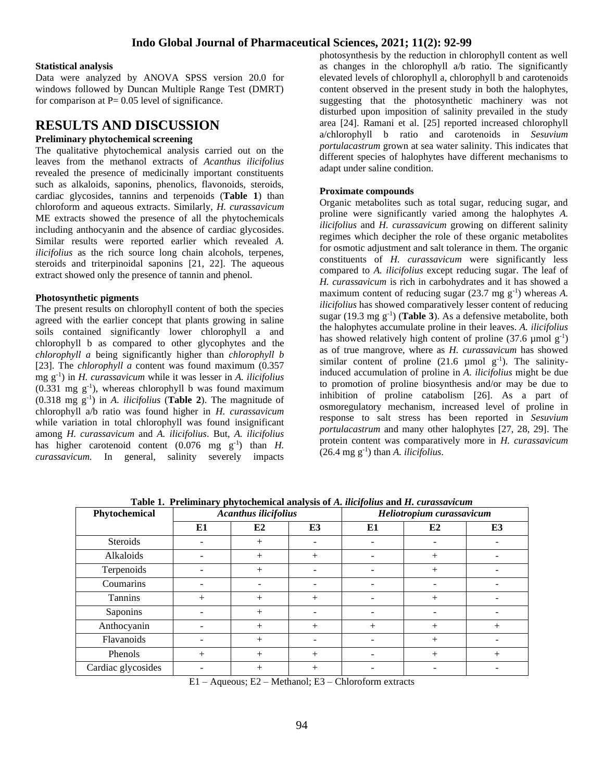#### **Statistical analysis**

Data were analyzed by ANOVA SPSS version 20.0 for windows followed by Duncan Multiple Range Test (DMRT) for comparison at  $P = 0.05$  level of significance.

## **RESULTS AND DISCUSSION**

#### **Preliminary phytochemical screening**

The qualitative phytochemical analysis carried out on the leaves from the methanol extracts of *Acanthus ilicifolius*  revealed the presence of medicinally important constituents such as alkaloids, saponins, phenolics, flavonoids, steroids, cardiac glycosides, tannins and terpenoids (**Table 1**) than chloroform and aqueous extracts. Similarly, *H. curassavicum* ME extracts showed the presence of all the phytochemicals including anthocyanin and the absence of cardiac glycosides. Similar results were reported earlier which revealed *A. ilicifolius* as the rich source long chain alcohols, terpenes, steroids and triterpinoidal saponins [21, 22]. The aqueous extract showed only the presence of tannin and phenol.

#### **Photosynthetic pigments**

The present results on chlorophyll content of both the species agreed with the earlier concept that plants growing in saline soils contained significantly lower chlorophyll a and chlorophyll b as compared to other glycophytes and the *chlorophyll a* being significantly higher than *chlorophyll b* [23]. The *chlorophyll a* content was found maximum (0.357 mg g-1 ) in *H. curassavicum* while it was lesser in *A. ilicifolius*  $(0.331 \text{ mg g}^{-1})$ , whereas chlorophyll b was found maximum (0.318 mg g-1 ) in *A. ilicifolius* (**Table 2**). The magnitude of chlorophyll a/b ratio was found higher in *H. curassavicum* while variation in total chlorophyll was found insignificant among *H. curassavicum* and *A. ilicifolius*. But, *A. ilicifolius* has higher carotenoid content  $(0.076 \text{ mg g}^{-1})$  than *H*. *curassavicum.* In general, salinity severely impacts

photosynthesis by the reduction in chlorophyll content as well as changes in the chlorophyll a/b ratio. The significantly elevated levels of chlorophyll a, chlorophyll b and carotenoids content observed in the present study in both the halophytes, suggesting that the photosynthetic machinery was not disturbed upon imposition of salinity prevailed in the study area [24]. Ramani et al. [25] reported increased chlorophyll a/chlorophyll b ratio and carotenoids in *Sesuvium portulacastrum* grown at sea water salinity. This indicates that different species of halophytes have different mechanisms to adapt under saline condition.

#### **Proximate compounds**

Organic metabolites such as total sugar, reducing sugar, and proline were significantly varied among the halophytes *A. ilicifolius* and *H. curassavicum* growing on different salinity regimes which decipher the role of these organic metabolites for osmotic adjustment and salt tolerance in them*.* The organic constituents of *H. curassavicum* were significantly less compared to *A. ilicifolius* except reducing sugar. The leaf of *H. curassavicum* is rich in carbohydrates and it has showed a maximum content of reducing sugar  $(23.7 \text{ mg g}^{-1})$  whereas A. *ilicifolius* has showed comparatively lesser content of reducing sugar  $(19.3 \text{ mg g}^{-1})$  (**Table 3**). As a defensive metabolite, both the halophytes accumulate proline in their leaves. *A. ilicifolius*  has showed relatively high content of proline  $(37.6 \text{ µmol g}^{-1})$ as of true mangrove, where as *H. curassavicum* has showed similar content of proline  $(21.6 \mu \text{mol g}^{-1})$ . The salinityinduced accumulation of proline in *A. ilicifolius* might be due to promotion of proline biosynthesis and/or may be due to inhibition of proline catabolism [26]. As a part of osmoregulatory mechanism, increased level of proline in response to salt stress has been reported in *Sesuvium portulacastrum* and many other halophytes [27, 28, 29]. The protein content was comparatively more in *H. curassavicum*  $(26.4 \text{ mg g}^{-1})$  than *A. ilicifolius*.

| Tuble 1: 1 Femming phytochemical analysis of it, megonius and it, cui assuracum |                             |                |        |                           |        |     |
|---------------------------------------------------------------------------------|-----------------------------|----------------|--------|---------------------------|--------|-----|
| Phytochemical                                                                   | <b>Acanthus ilicifolius</b> |                |        | Heliotropium curassavicum |        |     |
|                                                                                 | E1                          | E <sub>2</sub> | E3     | E1                        | E2     | E3  |
| Steroids                                                                        |                             | $^{+}$         |        |                           |        |     |
| Alkaloids                                                                       |                             | $^{+}$         | $^{+}$ |                           | $^{+}$ |     |
| Terpenoids                                                                      |                             | $+$            |        |                           | $^{+}$ |     |
| Coumarins                                                                       |                             |                |        |                           |        |     |
| Tannins                                                                         | $+$                         | $+$            | $+$    |                           | $+$    |     |
| Saponins                                                                        |                             | $+$            |        |                           |        |     |
| Anthocyanin                                                                     |                             | $+$            | $+$    | $^{+}$                    | $+$    | $+$ |
| Flavanoids                                                                      |                             | $+$            |        |                           | $^{+}$ |     |
| Phenols                                                                         | $+$                         | $+$            | $+$    |                           | $^{+}$ | $+$ |
| Cardiac glycosides                                                              |                             | $^{+}$         | $+$    |                           |        |     |

**Table 1. Preliminary phytochemical analysis of** *A. ilicifolius* **and** *H. curassavicum*

E1 – Aqueous; E2 – Methanol; E3 – Chloroform extracts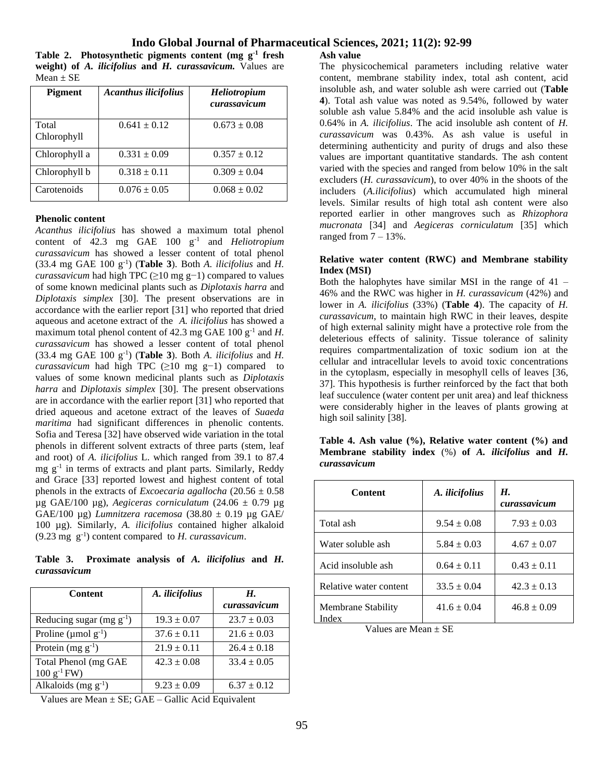**Table 2. Photosynthetic pigments content (mg g-1 fresh weight) of** *A. ilicifolius* **and** *H. curassavicum.* Values are  $Mean \pm SE$ 

| <b>Pigment</b>       | <b>Acanthus ilicifolius</b> | <b>Heliotropium</b><br>curassavicum |
|----------------------|-----------------------------|-------------------------------------|
| Total<br>Chlorophyll | $0.641 \pm 0.12$            | $0.673 \pm 0.08$                    |
| Chlorophyll a        | $0.331 \pm 0.09$            | $0.357 \pm 0.12$                    |
| Chlorophyll b        | $0.318 \pm 0.11$            | $0.309 \pm 0.04$                    |
| Carotenoids          | $0.076 \pm 0.05$            | $0.068 \pm 0.02$                    |

#### **Phenolic content**

*Acanthus ilicifolius* has showed a maximum total phenol content of 42.3 mg GAE 100 g-1 and *Heliotropium curassavicum* has showed a lesser content of total phenol  $(33.4 \text{ mg } GAE \cdot 100 \text{ g}^{-1})$  (**Table 3**). Both *A. ilicifolius* and *H. curassavicum* had high TPC (≥10 mg g<sup>-1</sup>) compared to values of some known medicinal plants such as *Diplotaxis harra* and *Diplotaxis simplex* [30]. The present observations are in accordance with the earlier report [31] who reported that dried aqueous and acetone extract of the *A. ilicifolius* has showed a maximum total phenol content of  $42.3 \text{ mg } GAE$  100  $g^{-1}$  and *H*. *curassavicum* has showed a lesser content of total phenol  $(33.4 \text{ mg } GAE \ 100 \text{ g}^{-1})$  (Table 3). Both *A. ilicifolius* and *H. curassavicum* had high TPC (≥10 mg g-1) compared to values of some known medicinal plants such as *Diplotaxis harra* and *Diplotaxis simplex* [30]. The present observations are in accordance with the earlier report [31] who reported that dried aqueous and acetone extract of the leaves of *Suaeda maritima* had significant differences in phenolic contents. Sofia and Teresa [32] have observed wide variation in the total phenols in different solvent extracts of three parts (stem, leaf and root) of *A. ilicifolius* L. which ranged from 39.1 to 87.4 mg g<sup>-1</sup> in terms of extracts and plant parts. Similarly, Reddy and Grace [33] reported lowest and highest content of total phenols in the extracts of *Excoecaria agallocha* (20.56 ± 0.58 µg GAE/100 µg), *Aegiceras corniculatum* (24.06 ± 0.79 µg GAE/100 µg) *Lumnitzera racemosa* (38.80 ± 0.19 µg GAE/ 100 µg). Similarly, *A. ilicifolius* contained higher alkaloid  $(9.23 \text{ mg } \text{g}^{-1})$  content compared to *H. curassavicum*.

**Table 3. Proximate analysis of** *A. ilicifolius* **and** *H. curassavicum*

| <b>Content</b>                                         | A. ilicifolius  | Н.<br>curassavicum |
|--------------------------------------------------------|-----------------|--------------------|
| Reducing sugar (mg $g^{-1}$ )                          | $19.3 \pm 0.07$ | $23.7 \pm 0.03$    |
| Proline ( $\mu$ mol $g^{-1}$ )                         | $37.6 \pm 0.11$ | $21.6 \pm 0.03$    |
| Protein $(mg g^{-1})$                                  | $21.9 \pm 0.11$ | $26.4 \pm 0.18$    |
| Total Phenol (mg GAE<br>$100 \text{ g}^{-1} \text{FW}$ | $42.3 \pm 0.08$ | $33.4 \pm 0.05$    |
| Alkaloids $(mg g^{-1})$                                | $9.23 \pm 0.09$ | $6.37 \pm 0.12$    |

Values are Mean  $\pm$  SE; GAE – Gallic Acid Equivalent

**Ash value**

The physicochemical parameters including relative water content, membrane stability index, total ash content, acid insoluble ash, and water soluble ash were carried out (**Table 4**). Total ash value was noted as 9.54%, followed by water soluble ash value 5.84% and the acid insoluble ash value is 0.64% in *A. ilicifolius*. The acid insoluble ash content of *H. curassavicum* was 0.43%. As ash value is useful in determining authenticity and purity of drugs and also these values are important quantitative standards. The ash content varied with the species and ranged from below 10% in the salt excluders (*H. curassavicum*), to over 40% in the shoots of the includers (*A.ilicifolius*) which accumulated high mineral levels. Similar results of high total ash content were also reported earlier in other mangroves such as *Rhizophora mucronata* [34] and *Aegiceras corniculatum* [35] which ranged from  $7 - 13\%$ .

#### **Relative water content (RWC) and Membrane stability Index (MSI)**

Both the halophytes have similar MSI in the range of 41 – 46% and the RWC was higher in *H. curassavicum* (42%) and lower in *A. ilicifolius* (33%) (**Table 4**). The capacity of *H. curassavicum*, to maintain high RWC in their leaves, despite of high external salinity might have a protective role from the deleterious effects of salinity. Tissue tolerance of salinity requires compartmentalization of toxic sodium ion at the cellular and intracellular levels to avoid toxic concentrations in the cytoplasm, especially in mesophyll cells of leaves [36, 37]. This hypothesis is further reinforced by the fact that both leaf succulence (water content per unit area) and leaf thickness were considerably higher in the leaves of plants growing at high soil salinity [38].

| Table 4. Ash value $(\%)$ , Relative water content $(\%)$ and   |  |  |  |  |
|-----------------------------------------------------------------|--|--|--|--|
| Membrane stability index $(\%)$ of A. <i>ilicifolius</i> and H. |  |  |  |  |
| curassavicum                                                    |  |  |  |  |

| <b>Content</b>              | A. ilicifolius  | Н.<br>curassavicum |
|-----------------------------|-----------------|--------------------|
| Total ash                   | $9.54 \pm 0.08$ | $7.93 \pm 0.03$    |
| Water soluble ash           | $5.84 \pm 0.03$ | $4.67 \pm 0.07$    |
| Acid insoluble ash          | $0.64 \pm 0.11$ | $0.43 \pm 0.11$    |
| Relative water content      | $33.5 \pm 0.04$ | $42.3 \pm 0.13$    |
| Membrane Stability<br>Index | $41.6 \pm 0.04$ | $46.8 \pm 0.09$    |

Values are Mean  $\pm$  SE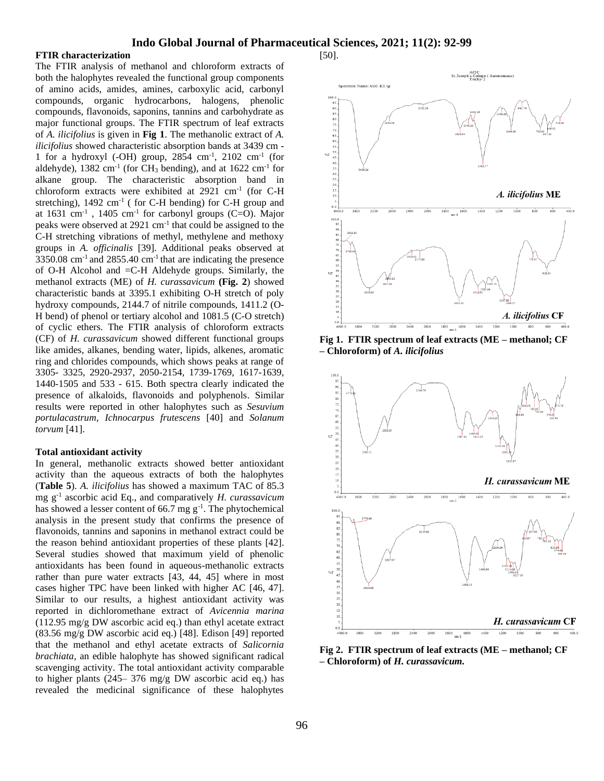#### **FTIR characterization**

The FTIR analysis of methanol and chloroform extracts of both the halophytes revealed the functional group components of amino acids, amides, amines, carboxylic acid, carbonyl compounds, organic hydrocarbons, halogens, phenolic compounds, flavonoids, saponins, tannins and carbohydrate as major functional groups. The FTIR spectrum of leaf extracts of *A. ilicifolius* is given in **Fig 1**. The methanolic extract of *A. ilicifolius* showed characteristic absorption bands at 3439 cm - 1 for a hydroxyl (-OH) group,  $2854 \text{ cm}^{-1}$ ,  $2102 \text{ cm}^{-1}$  (for aldehyde),  $1382 \text{ cm}^{-1}$  (for CH<sub>3</sub> bending), and at  $1622 \text{ cm}^{-1}$  for alkane group. The characteristic absorption band in chloroform extracts were exhibited at 2921 cm-1 (for C-H stretching),  $1492 \text{ cm}^{-1}$  (for C-H bending) for C-H group and at  $1631 \text{ cm}^{-1}$ ,  $1405 \text{ cm}^{-1}$  for carbonyl groups (C=O). Major peaks were observed at 2921 cm<sup>-1</sup> that could be assigned to the C-H stretching vibrations of methyl, methylene and methoxy groups in *A. officinalis* [39]. Additional peaks observed at  $3350.08$  cm<sup>-1</sup> and  $2855.40$  cm<sup>-1</sup> that are indicating the presence of O-H Alcohol and =C-H Aldehyde groups. Similarly, the methanol extracts (ME) of *H. curassavicum* **(Fig. 2**) showed characteristic bands at 3395.1 exhibiting O-H stretch of poly hydroxy compounds, 2144.7 of nitrile compounds, 1411.2 (O-H bend) of phenol or tertiary alcohol and 1081.5 (C-O stretch) of cyclic ethers. The FTIR analysis of chloroform extracts (CF) of *H. curassavicum* showed different functional groups like amides, alkanes, bending water, lipids, alkenes, aromatic ring and chlorides compounds, which shows peaks at range of 3305- 3325, 2920-2937, 2050-2154, 1739-1769, 1617-1639, 1440-1505 and 533 - 615. Both spectra clearly indicated the presence of alkaloids, flavonoids and polyphenols. Similar results were reported in other halophytes such as *Sesuvium portulacastrum*, *Ichnocarpus frutescens* [40] and *Solanum torvum* [41].

#### **Total antioxidant activity**

In general, methanolic extracts showed better antioxidant activity than the aqueous extracts of both the halophytes (**Table 5**). *A. ilicifolius* has showed a maximum TAC of 85.3 mg g-1 ascorbic acid Eq., and comparatively *H. curassavicum*  has showed a lesser content of 66.7 mg  $g^{-1}$ . The phytochemical analysis in the present study that confirms the presence of flavonoids, tannins and saponins in methanol extract could be the reason behind antioxidant properties of these plants [42]. Several studies showed that maximum yield of phenolic antioxidants has been found in aqueous-methanolic extracts rather than pure water extracts [43, 44, 45] where in most cases higher TPC have been linked with higher AC [46, 47]. Similar to our results, a highest antioxidant activity was reported in dichloromethane extract of *Avicennia marina* (112.95 mg/g DW ascorbic acid eq.) than ethyl acetate extract (83.56 mg/g DW ascorbic acid eq.) [48]. Edison [49] reported that the methanol and ethyl acetate extracts of *Salicornia brachiata,* an edible halophyte has showed significant radical scavenging activity. The total antioxidant activity comparable to higher plants (245– 376 mg/g DW ascorbic acid eq.) has revealed the medicinal significance of these halophytes



**Fig 1. FTIR spectrum of leaf extracts (ME – methanol; CF – Chloroform) of** *A. ilicifolius*



**Fig 2. FTIR spectrum of leaf extracts (ME – methanol; CF – Chloroform) of** *H. curassavicum.*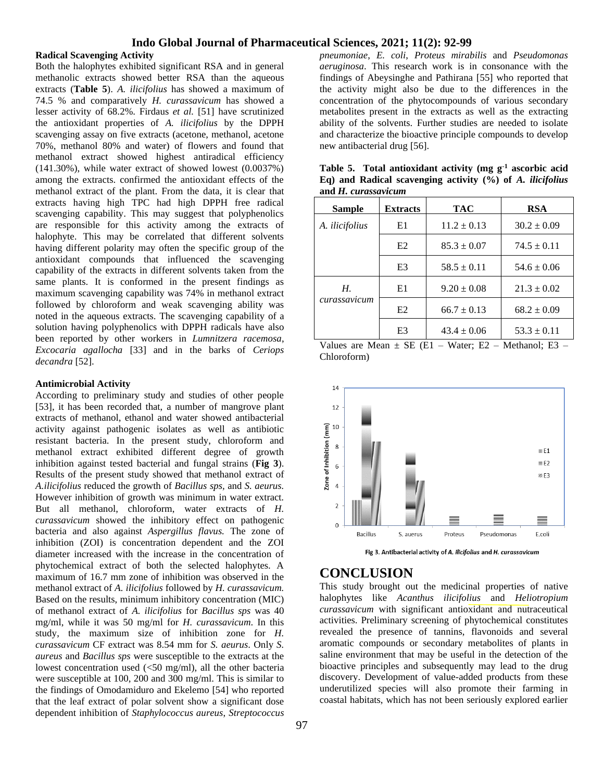#### **Radical Scavenging Activity**

Both the halophytes exhibited significant RSA and in general methanolic extracts showed better RSA than the aqueous extracts (**Table 5**). *A. ilicifolius* has showed a maximum of 74.5 % and comparatively *H. curassavicum* has showed a lesser activity of 68.2%. Firdaus *et al.* [51] have scrutinized the antioxidant properties of *A. ilicifolius* by the DPPH scavenging assay on five extracts (acetone, methanol, acetone 70%, methanol 80% and water) of flowers and found that methanol extract showed highest antiradical efficiency (141.30%), while water extract of showed lowest (0.0037%) among the extracts. confirmed the antioxidant effects of the methanol extract of the plant. From the data, it is clear that extracts having high TPC had high DPPH free radical scavenging capability. This may suggest that polyphenolics are responsible for this activity among the extracts of halophyte. This may be correlated that different solvents having different polarity may often the specific group of the antioxidant compounds that influenced the scavenging capability of the extracts in different solvents taken from the same plants. It is conformed in the present findings as maximum scavenging capability was 74% in methanol extract followed by chloroform and weak scavenging ability was noted in the aqueous extracts. The scavenging capability of a solution having polyphenolics with DPPH radicals have also been reported by other workers in *Lumnitzera racemosa*, *Excocaria agallocha* [33] and in the barks of *Ceriops decandra* [52].

#### **Antimicrobial Activity**

According to preliminary study and studies of other people [53], it has been recorded that, a number of mangrove plant extracts of methanol, ethanol and water showed antibacterial activity against pathogenic isolates as well as antibiotic resistant bacteria. In the present study, chloroform and methanol extract exhibited different degree of growth inhibition against tested bacterial and fungal strains (**Fig 3**). Results of the present study showed that methanol extract of *A.ilicifolius* reduced the growth of *Bacillus sps,* and *S. aeurus.*  However inhibition of growth was minimum in water extract*.*  But all methanol, chloroform, water extracts of *H. curassavicum* showed the inhibitory effect on pathogenic bacteria and also against *Aspergillus flavus.* The zone of inhibition (ZOI) is concentration dependent and the ZOI diameter increased with the increase in the concentration of phytochemical extract of both the selected halophytes. A maximum of 16.7 mm zone of inhibition was observed in the methanol extract of *A. ilicifolius* followed by *H. curassavicum.* Based on the results, minimum inhibitory concentration (MIC) of methanol extract of *A. ilicifolius* for *Bacillus sps* was 40 mg/ml, while it was 50 mg/ml for *H. curassavicum*. In this study, the maximum size of inhibition zone for *H. curassavicum* CF extract was 8.54 mm for *S. aeurus*. Only *S. aureus* and *Bacillus sps* were susceptible to the extracts at the lowest concentration used (<50 mg/ml), all the other bacteria were susceptible at 100, 200 and 300 mg/ml. This is similar to the findings of Omodamiduro and Ekelemo [54] who reported that the leaf extract of polar solvent show a significant dose dependent inhibition of *Staphylococcus aureus*, *Streptococcus*  *pneumoniae*, *E. coli*, *Proteus mirabilis* and *Pseudomonas aeruginosa*. This research work is in consonance with the findings of Abeysinghe and Pathirana [55] who reported that the activity might also be due to the differences in the concentration of the phytocompounds of various secondary metabolites present in the extracts as well as the extracting ability of the solvents. Further studies are needed to isolate and characterize the bioactive principle compounds to develop new antibacterial drug [56].

| Sample                | <b>Extracts</b> | TAC             | RSA             |
|-----------------------|-----------------|-----------------|-----------------|
| A. <i>ilicifolius</i> | E1              | $11.2 \pm 0.13$ | $30.2 \pm 0.09$ |
|                       | E2              | $85.3 \pm 0.07$ | $74.5 \pm 0.11$ |
|                       | E <sub>3</sub>  | $58.5 \pm 0.11$ | $54.6 \pm 0.06$ |
| Н.                    | E1              | $9.20 \pm 0.08$ | $21.3 \pm 0.02$ |
| curassavicum          | E <sub>2</sub>  | $66.7 \pm 0.13$ | $68.2 \pm 0.09$ |
|                       | E3              | $43.4 \pm 0.06$ | $53.3 \pm 0.11$ |

**Table 5. Total antioxidant activity (mg g-1 ascorbic acid Eq) and Radical scavenging activity (%) of** *A. ilicifolius* **and** *H. curassavicum*

Values are Mean  $\pm$  SE (E1 – Water; E2 – Methanol; E3 – Chloroform)



## **CONCLUSION**

This study brought out the medicinal properties of native halophytes like *Acanthus ilicifolius* and *Heliotropium curassavicum* with significant antioxidant and nutraceutical activities. Preliminary screening of phytochemical constitutes revealed the presence of tannins, flavonoids and several aromatic compounds or secondary metabolites of plants in saline environment that may be useful in the detection of the bioactive principles and subsequently may lead to the drug discovery. Development of value-added products from these underutilized species will also promote their farming in coastal habitats, which has not been seriously explored earlier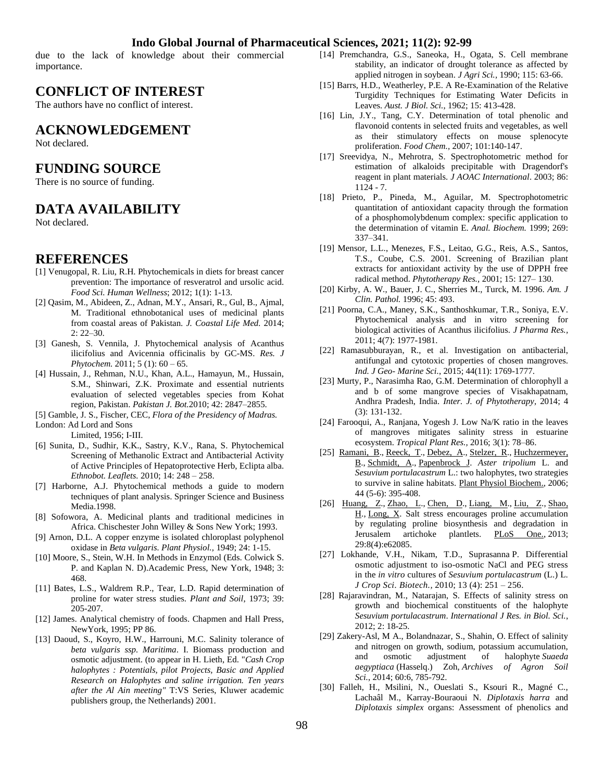due to the lack of knowledge about their commercial importance.

## **CONFLICT OF INTEREST**

The authors have no conflict of interest.

## **ACKNOWLEDGEMENT**

Not declared.

## **FUNDING SOURCE**

There is no source of funding.

## **DATA AVAILABILITY**

Not declared.

### **REFERENCES**

- [1] Venugopal, R. Liu, R.H. Phytochemicals in diets for breast cancer prevention: The importance of resveratrol and ursolic acid. *Food Sci. Human Wellness*; 2012; 1(1): 1-13.
- [2] Qasim, M., Abideen, Z., Adnan, M.Y., Ansari, R., Gul, B., Ajmal, M. Traditional ethnobotanical uses of medicinal plants from coastal areas of Pakistan. *J. Coastal Life Med.* 2014; 2: 22–30.
- [3] Ganesh, S. Vennila, J. Phytochemical analysis of Acanthus ilicifolius and Avicennia officinalis by GC-MS. *Res. J Phytochem.* 2011; 5 (1): 60 – 65.
- [4] Hussain, J., Rehman, N.U., Khan, A.L., Hamayun, M., Hussain, S.M., Shinwari, Z.K. Proximate and essential nutrients evaluation of selected vegetables species from Kohat region, Pakistan. *Pakistan J. Bot.*2010; 42: 2847–2855.
- [5] Gamble, J. S., Fischer, CEC, *Flora of the Presidency of Madras.*

London: Ad Lord and Sons

Limited, 1956; I-III.

- [6] Sunita, D., Sudhir, K.K., Sastry, K.V., Rana, S. Phytochemical Screening of Methanolic Extract and Antibacterial Activity of Active Principles of Hepatoprotective Herb, Eclipta alba. *Ethnobot. Leaflets.* 2010; 14: 248 – 258.
- [7] Harborne, A.J. Phytochemical methods a guide to modern techniques of plant analysis. Springer Science and Business Media.1998.
- [8] Sofowora, A. Medicinal plants and traditional medicines in Africa. Chischester John Willey & Sons New York; 1993.
- [9] Arnon, D.L. A copper enzyme is isolated chloroplast polyphenol oxidase in *Beta vulgaris. Plant Physiol.,* 1949; 24: 1-15.
- [10] Moore, S., Stein, W.H. In Methods in Enzymol (Eds. Colwick S. P. and Kaplan N. D).Academic Press, New York, 1948; 3: 468.
- [11] Bates, L.S., Waldrem R.P., Tear, L.D. Rapid determination of proline for water stress studies. *Plant and Soil*, 1973; 39: 205-207.
- [12] James. Analytical chemistry of foods. Chapmen and Hall Press, NewYork, 1995; PP 86.
- [13] Daoud, S., Koyro, H.W., Harrouni, M.C. Salinity tolerance of *beta vulgaris ssp. Maritima*. I. Biomass production and osmotic adjustment. (to appear in H. Lieth, Ed. "*Cash Crop halophytes : Potentials, pilot Projects, Basic and Applied Research on Halophytes and saline irrigation. Ten years after the Al Ain meeting"* T:VS Series, Kluwer academic publishers group, the Netherlands) 2001.
- [14] Premchandra, G.S., Saneoka, H., Ogata, S. Cell membrane stability, an indicator of drought tolerance as affected by applied nitrogen in soybean. *J Agri Sci.,* 1990; 115: 63-66.
- [15] Barrs, H.D., Weatherley, P.E. A Re-Examination of the Relative Turgidity Techniques for Estimating Water Deficits in Leaves. *Aust. J Biol. Sci.*, 1962; 15: 413-428.
- [16] Lin, J.Y., Tang, C.Y. Determination of total phenolic and flavonoid contents in selected fruits and vegetables, as well as their stimulatory effects on mouse splenocyte proliferation. *Food Chem.,* 2007; 101:140-147.
- [17] Sreevidya, N., Mehrotra, S. Spectrophotometric method for estimation of alkaloids precipitable with Dragendorf's reagent in plant materials. *J AOAC International*. 2003; 86: 1124 - 7.
- [18] Prieto, P., Pineda, M., Aguilar, M. Spectrophotometric quantitation of antioxidant capacity through the formation of a phosphomolybdenum complex: specific application to the determination of vitamin E. *Anal. Biochem.* 1999; 269: 337–341.
- [19] Mensor, L.L., Menezes, F.S., Leitao, G.G., Reis, A.S., Santos, T.S., Coube, C.S. 2001. Screening of Brazilian plant extracts for antioxidant activity by the use of DPPH free radical method. *Phytotherapy Res.,* 2001; 15: 127– 130.
- [20] Kirby, A. W., Bauer, J. C., Sherries M., Turck, M. 1996. *Am. J Clin. Pathol.* 1996; 45: 493.
- [21] Poorna, C.A., Maney, S.K., Santhoshkumar, T.R., Soniya, E.V. Phytochemical analysis and in vitro screening for biological activities of Acanthus ilicifolius. *J Pharma Res.,* 2011; 4(7): 1977-1981.
- [22] Ramasubburayan, R., et al. Investigation on antibacterial, antifungal and cytotoxic properties of chosen mangroves. *Ind. J Geo- Marine Sci.*, 2015; 44(11): 1769-1777.
- [23] Murty, P., Narasimha Rao, G.M. Determination of chlorophyll a and b of some mangrove species of Visakhapatnam, Andhra Pradesh, India. *Inter. J. of Phytotherapy,* 2014; 4 (3): 131-132.
- [24] Farooqui, A., Ranjana, Yogesh J. Low Na/K ratio in the leaves of mangroves mitigates salinity stress in estuarine ecosystem. *Tropical Plant Res.,* 2016; 3(1): 78–86.
- [25] [Ramani,](https://www.ncbi.nlm.nih.gov/pubmed/?term=Ramani%20B%5BAuthor%5D&cauthor=true&cauthor_uid=16806957) B., [Reeck,](https://www.ncbi.nlm.nih.gov/pubmed/?term=Reeck%20T%5BAuthor%5D&cauthor=true&cauthor_uid=16806957) T., [Debez,](https://www.ncbi.nlm.nih.gov/pubmed/?term=Debez%20A%5BAuthor%5D&cauthor=true&cauthor_uid=16806957) A., [Stelzer,](https://www.ncbi.nlm.nih.gov/pubmed/?term=Stelzer%20R%5BAuthor%5D&cauthor=true&cauthor_uid=16806957) R., [Huchzermeyer,](https://www.ncbi.nlm.nih.gov/pubmed/?term=Huchzermeyer%20B%5BAuthor%5D&cauthor=true&cauthor_uid=16806957) [B.](https://www.ncbi.nlm.nih.gov/pubmed/?term=Huchzermeyer%20B%5BAuthor%5D&cauthor=true&cauthor_uid=16806957), [Schmidt,](https://www.ncbi.nlm.nih.gov/pubmed/?term=Schmidt%20A%5BAuthor%5D&cauthor=true&cauthor_uid=16806957) A., [Papenbrock J.](https://www.ncbi.nlm.nih.gov/pubmed/?term=Papenbrock%20J%5BAuthor%5D&cauthor=true&cauthor_uid=16806957) *Aster tripolium* L. and *Sesuvium portulacastrum* L.: two halophytes, two strategies to survive in saline habitats. [Plant Physiol Biochem.,](https://www.ncbi.nlm.nih.gov/pubmed/16806957) 2006; 44 (5-6): 395-408.
- [26] [Huang,](https://www.ncbi.nlm.nih.gov/pubmed/?term=Huang%20Z%5BAuthor%5D&cauthor=true&cauthor_uid=23637970) Z., [Zhao,](https://www.ncbi.nlm.nih.gov/pubmed/?term=Zhao%20L%5BAuthor%5D&cauthor=true&cauthor_uid=23637970) L., [Chen,](https://www.ncbi.nlm.nih.gov/pubmed/?term=Chen%20D%5BAuthor%5D&cauthor=true&cauthor_uid=23637970) D., [Liang,](https://www.ncbi.nlm.nih.gov/pubmed/?term=Liang%20M%5BAuthor%5D&cauthor=true&cauthor_uid=23637970) M., [Liu,](https://www.ncbi.nlm.nih.gov/pubmed/?term=Liu%20Z%5BAuthor%5D&cauthor=true&cauthor_uid=23637970) Z., [Shao,](https://www.ncbi.nlm.nih.gov/pubmed/?term=Shao%20H%5BAuthor%5D&cauthor=true&cauthor_uid=23637970) [H.,](https://www.ncbi.nlm.nih.gov/pubmed/?term=Shao%20H%5BAuthor%5D&cauthor=true&cauthor_uid=23637970) [Long,](https://www.ncbi.nlm.nih.gov/pubmed/?term=Long%20X%5BAuthor%5D&cauthor=true&cauthor_uid=23637970) X. Salt stress encourages proline accumulation by regulating proline biosynthesis and degradation in Jerusalem artichoke plantlets. [PLoS One.,](https://www.ncbi.nlm.nih.gov/pubmed/23637970) 2013; 29:8(4):e62085.
- [27] Lokhande, V.H., Nikam, T.D., Suprasanna P. Differential osmotic adjustment to iso-osmotic NaCl and PEG stress in the *in vitro* cultures of *Sesuvium portulacastrum* (L.) L. *[J Crop Sci.](https://link.springer.com/journal/12892) Biotech.,* 2010; 13 (4): 251 – 256.
- [28] Rajaravindran, M., Natarajan, S. Effects of salinity stress on growth and biochemical constituents of the halophyte *Sesuvium portulacastrum*. *International J Res. in Biol. Sci.*, 2012; 2: 18-25.
- [29] Zakery-Asl, M A., Bolandnazar, S., Shahin, O. Effect of salinity and nitrogen on growth, sodium, potassium accumulation, and osmotic adjustment of halophyte *Suaeda aegyptiaca* (Hasselq.) Zoh, *Archives of Agron Soil Sci.*, 2014; 60:6, 785-792.
- [30] Falleh, H., Msilini, N., Oueslati S., Ksouri R., Magné C., Lachaâl M., Karray-Bouraoui N. *Diplotaxis harra* and *Diplotaxis simplex* organs: Assessment of phenolics and